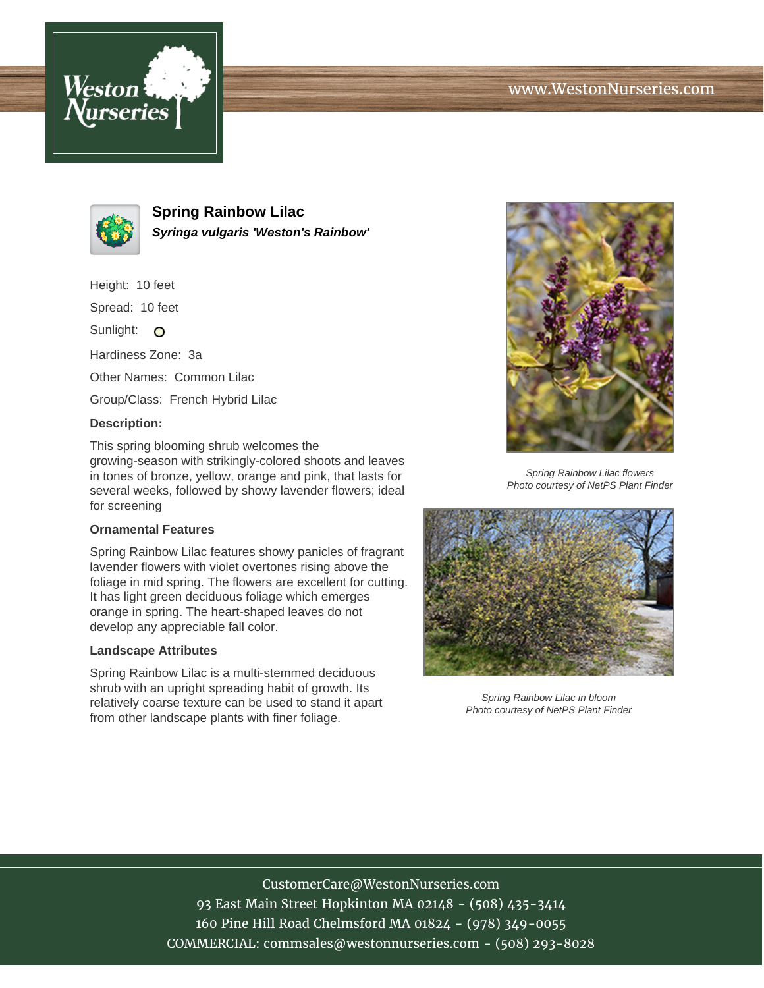



**Spring Rainbow Lilac Syringa vulgaris 'Weston's Rainbow'**

Height: 10 feet

Spread: 10 feet

Sunlight: O

Hardiness Zone: 3a

Other Names: Common Lilac

Group/Class: French Hybrid Lilac

## **Description:**

This spring blooming shrub welcomes the growing-season with strikingly-colored shoots and leaves in tones of bronze, yellow, orange and pink, that lasts for several weeks, followed by showy lavender flowers; ideal for screening

## **Ornamental Features**

Spring Rainbow Lilac features showy panicles of fragrant lavender flowers with violet overtones rising above the foliage in mid spring. The flowers are excellent for cutting. It has light green deciduous foliage which emerges orange in spring. The heart-shaped leaves do not develop any appreciable fall color.

## **Landscape Attributes**

Spring Rainbow Lilac is a multi-stemmed deciduous shrub with an upright spreading habit of growth. Its relatively coarse texture can be used to stand it apart from other landscape plants with finer foliage.



Spring Rainbow Lilac flowers Photo courtesy of NetPS Plant Finder



Spring Rainbow Lilac in bloom Photo courtesy of NetPS Plant Finder

CustomerCare@WestonNurseries.com 93 East Main Street Hopkinton MA 02148 - (508) 435-3414 160 Pine Hill Road Chelmsford MA 01824 - (978) 349-0055 COMMERCIAL: commsales@westonnurseries.com - (508) 293-8028